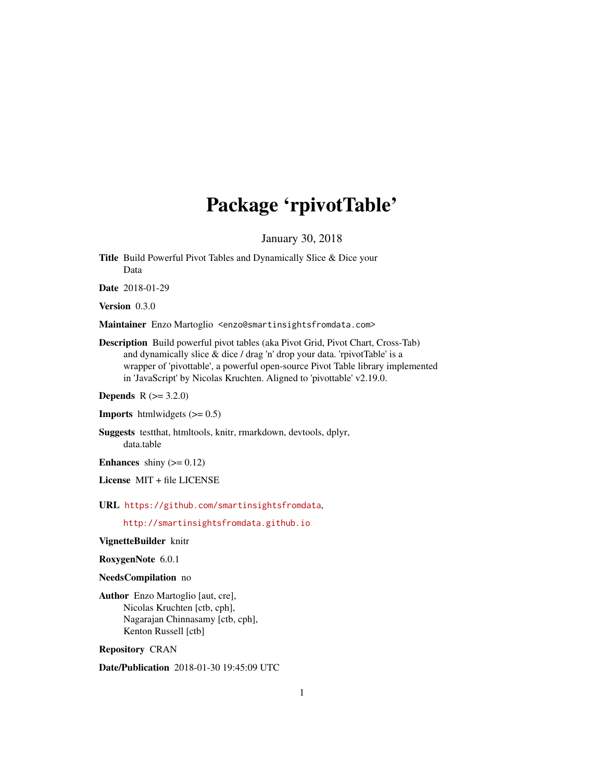# Package 'rpivotTable'

January 30, 2018

Title Build Powerful Pivot Tables and Dynamically Slice & Dice your Data

Date 2018-01-29

Version 0.3.0

Maintainer Enzo Martoglio <enzo@smartinsightsfromdata.com>

Description Build powerful pivot tables (aka Pivot Grid, Pivot Chart, Cross-Tab) and dynamically slice & dice / drag 'n' drop your data. 'rpivotTable' is a wrapper of 'pivottable', a powerful open-source Pivot Table library implemented in 'JavaScript' by Nicolas Kruchten. Aligned to 'pivottable' v2.19.0.

**Depends** R  $(>= 3.2.0)$ 

**Imports** htmlwidgets  $(>= 0.5)$ 

Suggests testthat, htmltools, knitr, rmarkdown, devtools, dplyr, data.table

**Enhances** shiny  $(>= 0.12)$ 

License MIT + file LICENSE

URL <https://github.com/smartinsightsfromdata>,

<http://smartinsightsfromdata.github.io>

VignetteBuilder knitr

RoxygenNote 6.0.1

NeedsCompilation no

Author Enzo Martoglio [aut, cre], Nicolas Kruchten [ctb, cph], Nagarajan Chinnasamy [ctb, cph], Kenton Russell [ctb]

Repository CRAN

Date/Publication 2018-01-30 19:45:09 UTC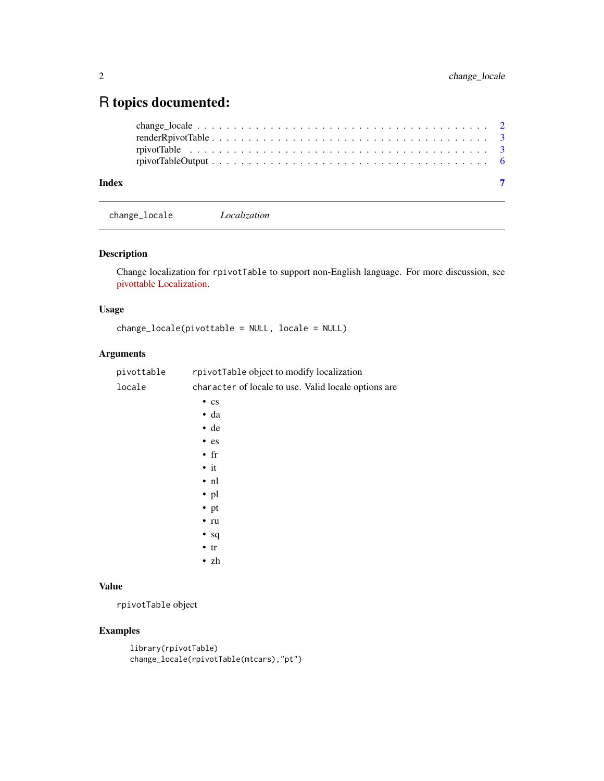## <span id="page-1-0"></span>R topics documented:

| Index |  |
|-------|--|

change\_locale *Localization*

#### Description

Change localization for rpivotTable to support non-English language. For more discussion, see [pivottable Localization.](https://github.com/nicolaskruchten/pivottable/wiki/Localization)

#### Usage

change\_locale(pivottable = NULL, locale = NULL)

#### Arguments

| pivottable | rpivotTable object to modify localization            |
|------------|------------------------------------------------------|
| locale     | character of locale to use. Valid locale options are |
|            | $\cdot$ cs                                           |
|            | $\bullet$ da                                         |
|            | $\cdot$ de                                           |
|            | $\bullet$ es                                         |
|            | $\cdot$ fr                                           |
|            | $\bullet$ it                                         |
|            | $\cdot$ nl                                           |
|            | $\cdot$ pl                                           |
|            | • $pt$                                               |
|            | $\cdot$ ru                                           |
|            | $\bullet$ sq                                         |
|            | $\cdot$ tr                                           |
|            | $\cdot$ zh                                           |
|            |                                                      |
| Value      |                                                      |

rpivotTable object

#### Examples

```
library(rpivotTable)
change_locale(rpivotTable(mtcars),"pt")
```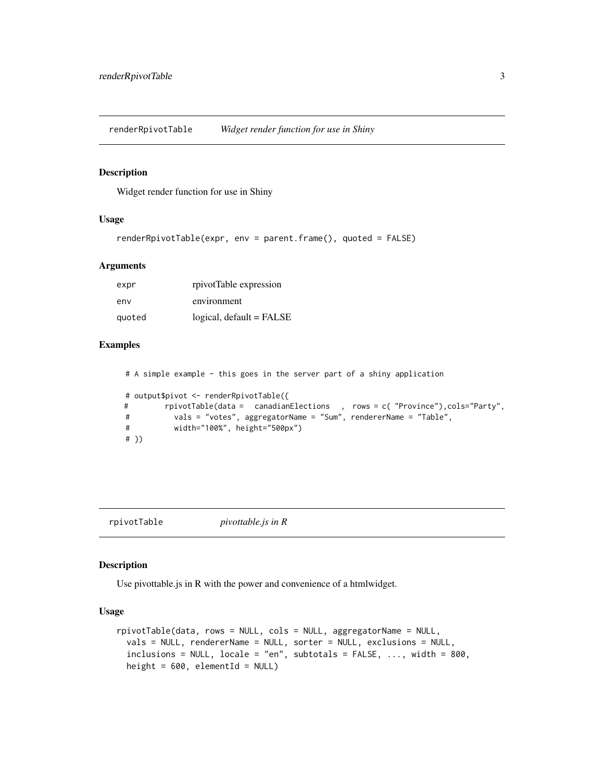<span id="page-2-0"></span>renderRpivotTable *Widget render function for use in Shiny*

#### Description

Widget render function for use in Shiny

#### Usage

```
renderRpivotTable(expr, env = parent.frame(), quoted = FALSE)
```
#### Arguments

| expr   | rpivotTable expression     |
|--------|----------------------------|
| env    | environment                |
| quoted | $logical, default = FALSE$ |

#### Examples

# A simple example - this goes in the server part of a shiny application # output\$pivot <- renderRpivotTable({ # rpivotTable(data = canadianElections , rows = c( "Province"),cols="Party", # vals = "votes", aggregatorName = "Sum", rendererName = "Table", # width="100%", height="500px") # })

rpivotTable *pivottable.js in R*

#### Description

Use pivottable.js in R with the power and convenience of a htmlwidget.

#### Usage

```
rpivotTable(data, rows = NULL, cols = NULL, aggregatorName = NULL,
 vals = NULL, rendererName = NULL, sorter = NULL, exclusions = NULL,
  inclusions = NULL, locale = "en", subtotals = FALSE, ..., width = 800,height = 600, elementId = NULL)
```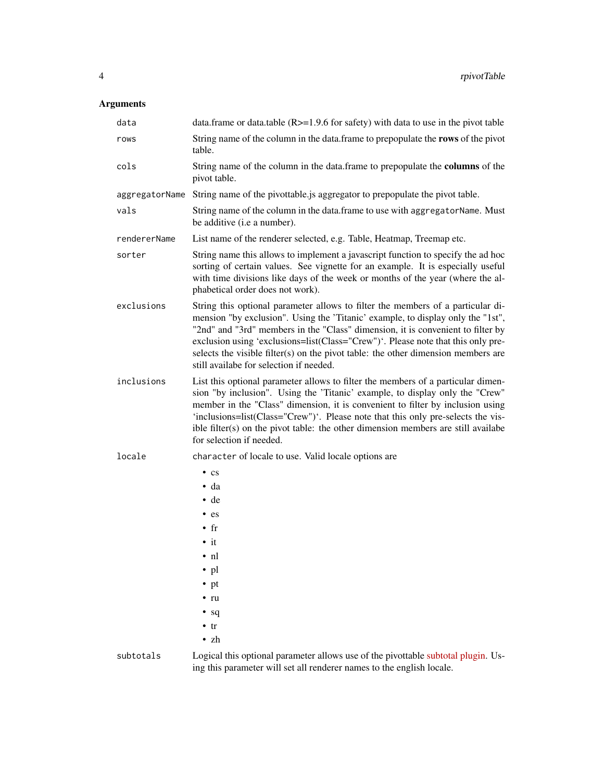### Arguments

| data           | data.frame or data.table ( $R > = 1.9.6$ for safety) with data to use in the pivot table                                                                                                                                                                                                                                                                                                                                                                                  |
|----------------|---------------------------------------------------------------------------------------------------------------------------------------------------------------------------------------------------------------------------------------------------------------------------------------------------------------------------------------------------------------------------------------------------------------------------------------------------------------------------|
| rows           | String name of the column in the data.frame to prepopulate the rows of the pivot<br>table.                                                                                                                                                                                                                                                                                                                                                                                |
| cols           | String name of the column in the data.frame to prepopulate the columns of the<br>pivot table.                                                                                                                                                                                                                                                                                                                                                                             |
| aggregatorName | String name of the pivottable is aggregator to prepopulate the pivot table.                                                                                                                                                                                                                                                                                                                                                                                               |
| vals           | String name of the column in the data.frame to use with aggregatorName. Must<br>be additive ( <i>i.e a number</i> ).                                                                                                                                                                                                                                                                                                                                                      |
| rendererName   | List name of the renderer selected, e.g. Table, Heatmap, Treemap etc.                                                                                                                                                                                                                                                                                                                                                                                                     |
| sorter         | String name this allows to implement a javascript function to specify the ad hoc<br>sorting of certain values. See vignette for an example. It is especially useful<br>with time divisions like days of the week or months of the year (where the al-<br>phabetical order does not work).                                                                                                                                                                                 |
| exclusions     | String this optional parameter allows to filter the members of a particular di-<br>mension "by exclusion". Using the 'Titanic' example, to display only the "1st",<br>"2nd" and "3rd" members in the "Class" dimension, it is convenient to filter by<br>exclusion using 'exclusions=list(Class="Crew")'. Please note that this only pre-<br>selects the visible filter(s) on the pivot table: the other dimension members are<br>still availabe for selection if needed. |
| inclusions     | List this optional parameter allows to filter the members of a particular dimen-<br>sion "by inclusion". Using the 'Titanic' example, to display only the "Crew"<br>member in the "Class" dimension, it is convenient to filter by inclusion using<br>'inclusions=list(Class="Crew")'. Please note that this only pre-selects the vis-<br>ible filter(s) on the pivot table: the other dimension members are still availabe<br>for selection if needed.                   |
| locale         | character of locale to use. Valid locale options are                                                                                                                                                                                                                                                                                                                                                                                                                      |
|                | $\cdot$ cs<br>$\bullet$ da<br>$\cdot$ de<br>$-$ es<br>$\bullet$ fr<br>$\cdot$ it<br>$\cdot$ nl<br>$\cdot$ pl<br>$\cdot$ pt<br>$\cdot$ ru<br>$\bullet$ sq<br>$\cdot$ tr                                                                                                                                                                                                                                                                                                    |
|                | $\cdot$ zh                                                                                                                                                                                                                                                                                                                                                                                                                                                                |
| subtotals      | Logical this optional parameter allows use of the pivottable subtotal plugin. Us-                                                                                                                                                                                                                                                                                                                                                                                         |

ing this parameter will set all renderer names to the english locale.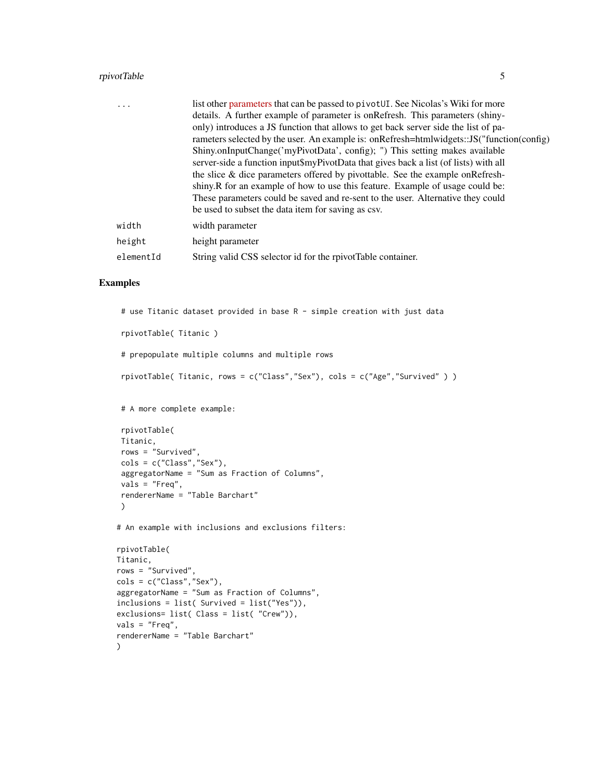#### rpivotTable 5

| $\ddotsc$ | list other parameters that can be passed to pivot UI. See Nicolas's Wiki for more         |
|-----------|-------------------------------------------------------------------------------------------|
|           | details. A further example of parameter is on Refresh. This parameters (shiny-            |
|           | only) introduces a JS function that allows to get back server side the list of pa-        |
|           | rameters selected by the user. An example is: onRefresh=htmlwidgets::JS("function(config) |
|           | Shiny.onInputChange('myPivotData', config); ") This setting makes available               |
|           | server-side a function input\$myPivotData that gives back a list (of lists) with all      |
|           | the slice & dice parameters offered by pivottable. See the example onRefresh-             |
|           | shiny. R for an example of how to use this feature. Example of usage could be:            |
|           | These parameters could be saved and re-sent to the user. Alternative they could           |
|           | be used to subset the data item for saving as csv.                                        |
| width     | width parameter                                                                           |
| height    | height parameter                                                                          |
| elementId | String valid CSS selector id for the rpivotTable container.                               |

#### Examples

```
# use Titanic dataset provided in base R - simple creation with just data
 rpivotTable( Titanic )
 # prepopulate multiple columns and multiple rows
 rpivotTable( Titanic, rows = c("Class","Sex"), cols = c("Age","Survived" ) )
 # A more complete example:
 rpivotTable(
 Titanic,
 rows = "Survived",
 cols = c("Class","Sex"),
 aggregatorName = "Sum as Fraction of Columns",
 vals = "Freq",
 rendererName = "Table Barchart"
 )
# An example with inclusions and exclusions filters:
rpivotTable(
Titanic,
rows = "Survived",
cols = c("Class","Sex"),
aggregatorName = "Sum as Fraction of Columns",
inclusions = list( Survived = list("Yes")),
exclusions= list( Class = list( "Crew")),
vals = "Freq",
rendererName = "Table Barchart"
```
)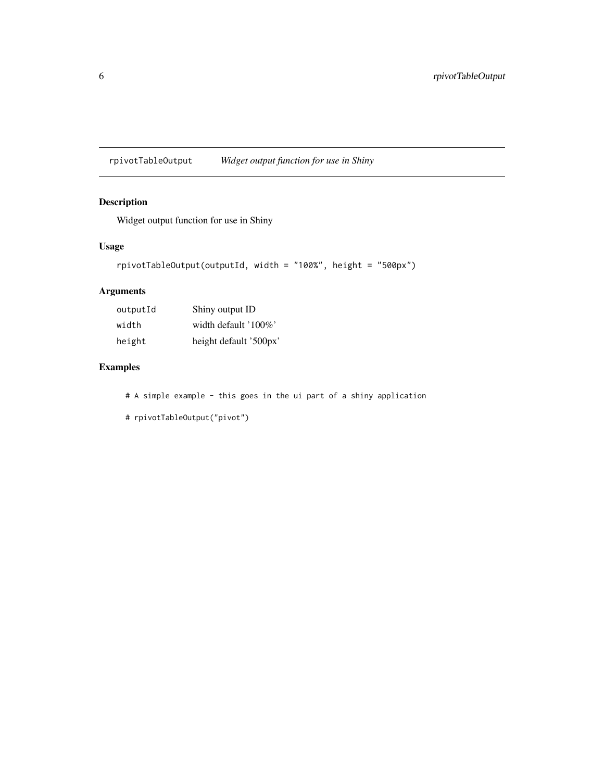<span id="page-5-0"></span>rpivotTableOutput *Widget output function for use in Shiny*

#### Description

Widget output function for use in Shiny

#### Usage

```
rpivotTableOutput(outputId, width = "100%", height = "500px")
```
#### Arguments

| outputId | Shiny output ID        |
|----------|------------------------|
| width    | width default '100%'   |
| height   | height default '500px' |

#### Examples

# A simple example - this goes in the ui part of a shiny application

# rpivotTableOutput("pivot")